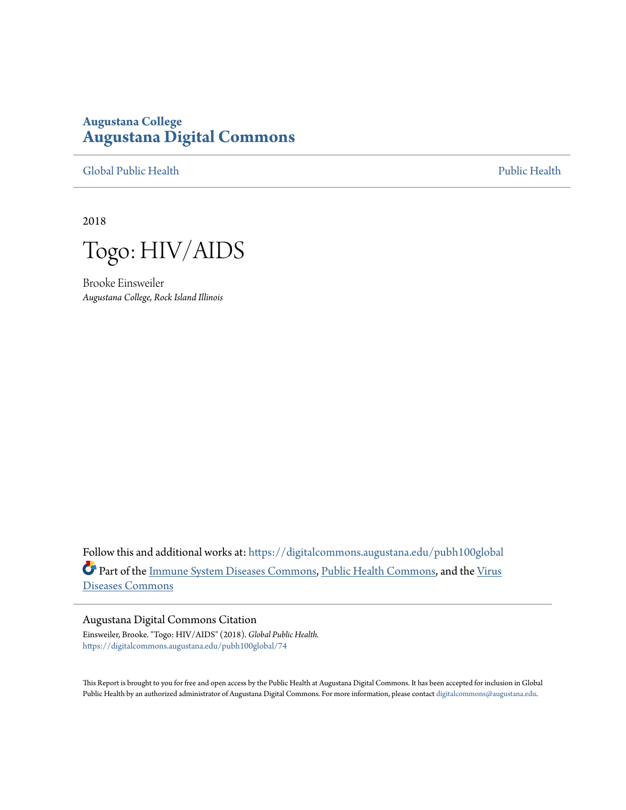### **Augustana College [Augustana Digital Commons](https://digitalcommons.augustana.edu?utm_source=digitalcommons.augustana.edu%2Fpubh100global%2F74&utm_medium=PDF&utm_campaign=PDFCoverPages)**

[Global Public Health](https://digitalcommons.augustana.edu/pubh100global?utm_source=digitalcommons.augustana.edu%2Fpubh100global%2F74&utm_medium=PDF&utm_campaign=PDFCoverPages) [Public Health](https://digitalcommons.augustana.edu/publichealth?utm_source=digitalcommons.augustana.edu%2Fpubh100global%2F74&utm_medium=PDF&utm_campaign=PDFCoverPages)

2018



Brooke Einsweiler *Augustana College, Rock Island Illinois*

Follow this and additional works at: [https://digitalcommons.augustana.edu/pubh100global](https://digitalcommons.augustana.edu/pubh100global?utm_source=digitalcommons.augustana.edu%2Fpubh100global%2F74&utm_medium=PDF&utm_campaign=PDFCoverPages) Part of the [Immune System Diseases Commons,](http://network.bepress.com/hgg/discipline/933?utm_source=digitalcommons.augustana.edu%2Fpubh100global%2F74&utm_medium=PDF&utm_campaign=PDFCoverPages) [Public Health Commons](http://network.bepress.com/hgg/discipline/738?utm_source=digitalcommons.augustana.edu%2Fpubh100global%2F74&utm_medium=PDF&utm_campaign=PDFCoverPages), and the [Virus](http://network.bepress.com/hgg/discipline/998?utm_source=digitalcommons.augustana.edu%2Fpubh100global%2F74&utm_medium=PDF&utm_campaign=PDFCoverPages) [Diseases Commons](http://network.bepress.com/hgg/discipline/998?utm_source=digitalcommons.augustana.edu%2Fpubh100global%2F74&utm_medium=PDF&utm_campaign=PDFCoverPages)

#### Augustana Digital Commons Citation

Einsweiler, Brooke. "Togo: HIV/AIDS" (2018). *Global Public Health.* [https://digitalcommons.augustana.edu/pubh100global/74](https://digitalcommons.augustana.edu/pubh100global/74?utm_source=digitalcommons.augustana.edu%2Fpubh100global%2F74&utm_medium=PDF&utm_campaign=PDFCoverPages)

This Report is brought to you for free and open access by the Public Health at Augustana Digital Commons. It has been accepted for inclusion in Global Public Health by an authorized administrator of Augustana Digital Commons. For more information, please contact [digitalcommons@augustana.edu.](mailto:digitalcommons@augustana.edu)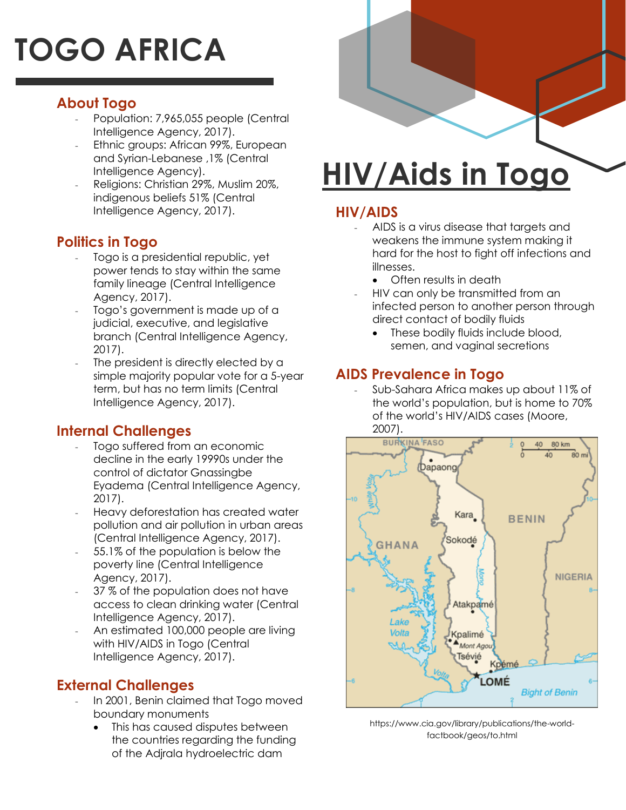# **TOGO AFRICA**

### **About Togo**

- Population: 7,965,055 people (Central Intelligence Agency, 2017).
- Ethnic groups: African 99%, European and Syrian-Lebanese ,1% (Central Intelligence Agency).
- Religions: Christian 29%, Muslim 20%, indigenous beliefs 51% (Central Intelligence Agency, 2017).

### **Politics in Togo**

- Togo is a presidential republic, yet power tends to stay within the same family lineage (Central Intelligence Agency, 2017).
- Togo's government is made up of a judicial, executive, and legislative branch (Central Intelligence Agency, 2017).
- The president is directly elected by a simple majority popular vote for a 5-year term, but has no term limits (Central Intelligence Agency, 2017).

### **Internal Challenges**

- Togo suffered from an economic decline in the early 19990s under the control of dictator Gnassingbe Eyadema (Central Intelligence Agency, 2017).
- Heavy deforestation has created water pollution and air pollution in urban areas (Central Intelligence Agency, 2017).
- 55.1% of the population is below the poverty line (Central Intelligence Agency, 2017).
- 37 % of the population does not have access to clean drinking water (Central Intelligence Agency, 2017).
- An estimated 100,000 people are living with HIV/AIDS in Togo (Central Intelligence Agency, 2017).

### **External Challenges**

- In 2001, Benin claimed that Togo moved boundary monuments
	- This has caused disputes between the countries regarding the funding of the Adjrala hydroelectric dam

## **HIV/Aids in Togo**

### **HIV/AIDS**

- AIDS is a virus disease that targets and weakens the immune system making it hard for the host to fight off infections and illnesses.
	- Often results in death
- HIV can only be transmitted from an infected person to another person through direct contact of bodily fluids
	- These bodily fluids include blood, semen, and vaginal secretions

### **AIDS Prevalence in Togo**

- Sub-Sahara Africa makes up about 11% of the world's population, but is home to 70% of the world's HIV/AIDS cases (Moore, 2007).



https://www.cia.gov/library/publications/the-worldfactbook/geos/to.html